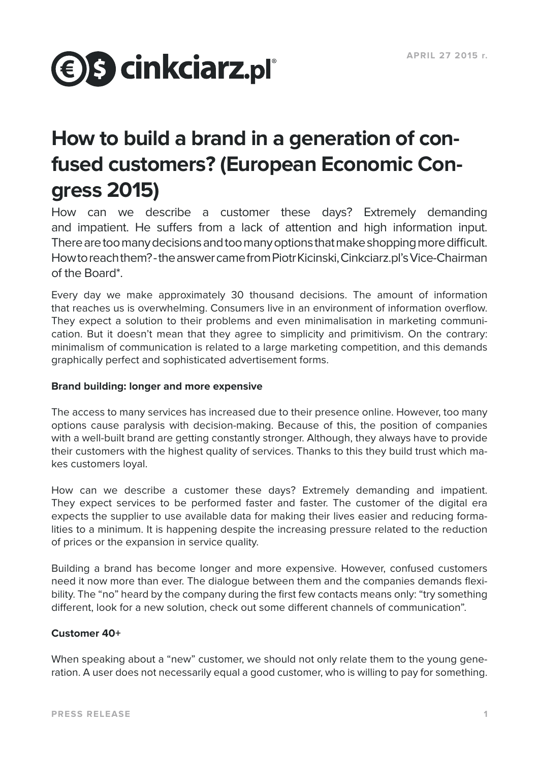

# **How to build a brand in a generation of confused customers? (European Economic Congress 2015)**

How can we describe a customer these days? Extremely demanding and impatient. He suffers from a lack of attention and high information input. There are too many decisions and too many options that make shopping more difficult. How to reach them? - the answer came from Piotr Kicinski, Cinkciarz.pl's Vice-Chairman of the Board\*.

Every day we make approximately 30 thousand decisions. The amount of information that reaches us is overwhelming. Consumers live in an environment of information overflow. They expect a solution to their problems and even minimalisation in marketing communication. But it doesn't mean that they agree to simplicity and primitivism. On the contrary: minimalism of communication is related to a large marketing competition, and this demands graphically perfect and sophisticated advertisement forms.

# **Brand building: longer and more expensive**

The access to many services has increased due to their presence online. However, too many options cause paralysis with decision-making. Because of this, the position of companies with a well-built brand are getting constantly stronger. Although, they always have to provide their customers with the highest quality of services. Thanks to this they build trust which makes customers loyal.

How can we describe a customer these days? Extremely demanding and impatient. They expect services to be performed faster and faster. The customer of the digital era expects the supplier to use available data for making their lives easier and reducing formalities to a minimum. It is happening despite the increasing pressure related to the reduction of prices or the expansion in service quality.

Building a brand has become longer and more expensive. However, confused customers need it now more than ever. The dialogue between them and the companies demands flexibility. The "no" heard by the company during the first few contacts means only: "try something different, look for a new solution, check out some different channels of communication".

# **Customer 40+**

When speaking about a "new" customer, we should not only relate them to the young generation. A user does not necessarily equal a good customer, who is willing to pay for something.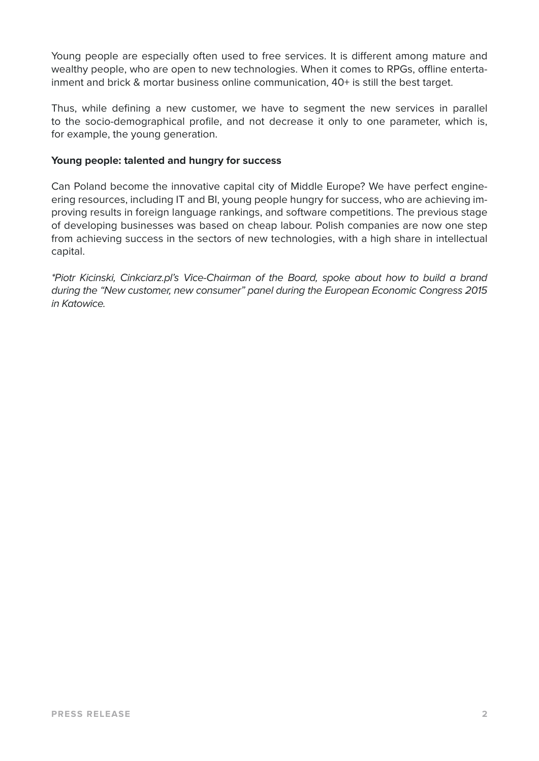Young people are especially often used to free services. It is different among mature and wealthy people, who are open to new technologies. When it comes to RPGs, offline entertainment and brick & mortar business online communication, 40+ is still the best target.

Thus, while defining a new customer, we have to segment the new services in parallel to the socio-demographical profile, and not decrease it only to one parameter, which is, for example, the young generation.

# **Young people: talented and hungry for success**

Can Poland become the innovative capital city of Middle Europe? We have perfect engineering resources, including IT and BI, young people hungry for success, who are achieving improving results in foreign language rankings, and software competitions. The previous stage of developing businesses was based on cheap labour. Polish companies are now one step from achieving success in the sectors of new technologies, with a high share in intellectual capital.

*\*Piotr Kicinski, Cinkciarz.pl's Vice-Chairman of the Board, spoke about how to build a brand during the "New customer, new consumer" panel during the European Economic Congress 2015 in Katowice.*